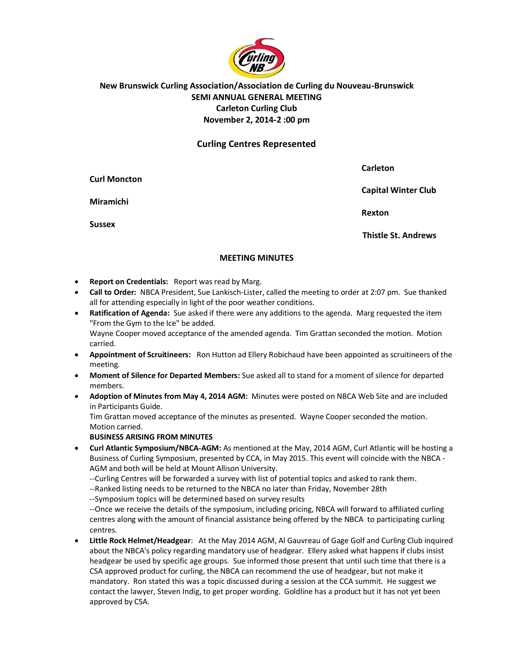

# **New Brunswick Curling Association/Association de Curling du Nouveau-Brunswick SEMI ANNUAL GENERAL MEETING Carleton Curling Club November 2, 2014-2 :00 pm**

## **Curling Centres Represented**

|                     | Carleton                   |
|---------------------|----------------------------|
| <b>Curl Moncton</b> | <b>Capital Winter Club</b> |
| <b>Miramichi</b>    |                            |
| <b>Sussex</b>       | Rexton                     |
|                     | <b>Thistle St. Andrews</b> |

#### **MEETING MINUTES**

- **Report on Credentials:** Report was read by Marg.
- **Call to Order:** NBCA President, Sue Lankisch-Lister, called the meeting to order at 2:07 pm. Sue thanked all for attending especially in light of the poor weather conditions.
- **Ratification of Agenda:** Sue asked if there were any additions to the agenda. Marg requested the item "From the Gym to the Ice" be added. Wayne Cooper moved acceptance of the amended agenda. Tim Grattan seconded the motion. Motion carried.
- **Appointment of Scruitineers:** Ron Hutton ad Ellery Robichaud have been appointed as scruitineers of the meeting.
- **Moment of Silence for Departed Members:** Sue asked all to stand for a moment of silence for departed members.
- **Adoption of Minutes from May 4, 2014 AGM:** Minutes were posted on NBCA Web Site and are included in Participants Guide.

Tim Grattan moved acceptance of the minutes as presented. Wayne Cooper seconded the motion. Motion carried.

#### **BUSINESS ARISING FROM MINUTES**

- **Curl Atlantic Symposium/NBCA-AGM:** As mentioned at the May, 2014 AGM, Curl Atlantic will be hosting a Business of Curling Symposium, presented by CCA, in May 2015. This event will coincide with the NBCA - AGM and both will be held at Mount Allison University.
	- --Curling Centres will be forwarded a survey with list of potential topics and asked to rank them.
	- --Ranked listing needs to be returned to the NBCA no later than Friday, November 28th

--Symposium topics will be determined based on survey results

--Once we receive the details of the symposium, including pricing, NBCA will forward to affiliated curling centres along with the amount of financial assistance being offered by the NBCA to participating curling centres.

 **Little Rock Helmet/Headgear**: At the May 2014 AGM, Al Gauvreau of Gage Golf and Curling Club inquired about the NBCA's policy regarding mandatory use of headgear. Ellery asked what happens if clubs insist headgear be used by specific age groups. Sue informed those present that until such time that there is a CSA approved product for curling, the NBCA can recommend the use of headgear, but not make it mandatory. Ron stated this was a topic discussed during a session at the CCA summit. He suggest we contact the lawyer, Steven Indig, to get proper wording. Goldline has a product but it has not yet been approved by CSA.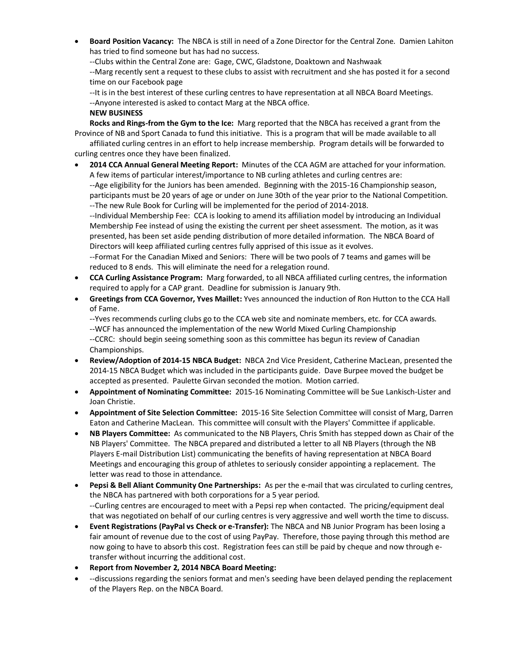**Board Position Vacancy:** The NBCA is still in need of a Zone Director for the Central Zone. Damien Lahiton has tried to find someone but has had no success.

--Clubs within the Central Zone are: Gage, CWC, Gladstone, Doaktown and Nashwaak

--Marg recently sent a request to these clubs to assist with recruitment and she has posted it for a second time on our Facebook page

--It is in the best interest of these curling centres to have representation at all NBCA Board Meetings.

--Anyone interested is asked to contact Marg at the NBCA office.

### **NEW BUSINESS**

**Rocks and Rings-from the Gym to the Ice:** Marg reported that the NBCA has received a grant from the Province of NB and Sport Canada to fund this initiative. This is a program that will be made available to all

affiliated curling centres in an effort to help increase membership. Program details will be forwarded to curling centres once they have been finalized.

 **2014 CCA Annual General Meeting Report:** Minutes of the CCA AGM are attached for your information. A few items of particular interest/importance to NB curling athletes and curling centres are:

--Age eligibility for the Juniors has been amended. Beginning with the 2015-16 Championship season, participants must be 20 years of age or under on June 30th of the year prior to the National Competition. --The new Rule Book for Curling will be implemented for the period of 2014-2018.

--Individual Membership Fee: CCA is looking to amend its affiliation model by introducing an Individual Membership Fee instead of using the existing the current per sheet assessment. The motion, as it was presented, has been set aside pending distribution of more detailed information. The NBCA Board of Directors will keep affiliated curling centres fully apprised of this issue as it evolves.

--Format For the Canadian Mixed and Seniors: There will be two pools of 7 teams and games will be reduced to 8 ends. This will eliminate the need for a relegation round.

- **CCA Curling Assistance Program:** Marg forwarded, to all NBCA affiliated curling centres, the information required to apply for a CAP grant. Deadline for submission is January 9th.
- **Greetings from CCA Governor, Yves Maillet:** Yves announced the induction of Ron Hutton to the CCA Hall of Fame.

--Yves recommends curling clubs go to the CCA web site and nominate members, etc. for CCA awards. --WCF has announced the implementation of the new World Mixed Curling Championship --CCRC: should begin seeing something soon as this committee has begun its review of Canadian Championships.

- **Review/Adoption of 2014-15 NBCA Budget:** NBCA 2nd Vice President, Catherine MacLean, presented the 2014-15 NBCA Budget which was included in the participants guide. Dave Burpee moved the budget be accepted as presented. Paulette Girvan seconded the motion. Motion carried.
- **Appointment of Nominating Committee:** 2015-16 Nominating Committee will be Sue Lankisch-Lister and Joan Christie.
- **Appointment of Site Selection Committee:** 2015-16 Site Selection Committee will consist of Marg, Darren Eaton and Catherine MacLean. This committee will consult with the Players' Committee if applicable.
- **NB Players Committee:** As communicated to the NB Players, Chris Smith has stepped down as Chair of the NB Players' Committee. The NBCA prepared and distributed a letter to all NB Players (through the NB Players E-mail Distribution List) communicating the benefits of having representation at NBCA Board Meetings and encouraging this group of athletes to seriously consider appointing a replacement. The letter was read to those in attendance.
- **Pepsi & Bell Aliant Community One Partnerships:** As per the e-mail that was circulated to curling centres, the NBCA has partnered with both corporations for a 5 year period. --Curling centres are encouraged to meet with a Pepsi rep when contacted. The pricing/equipment deal that was negotiated on behalf of our curling centres is very aggressive and well worth the time to discuss.
- **Event Registrations (PayPal vs Check or e-Transfer):** The NBCA and NB Junior Program has been losing a fair amount of revenue due to the cost of using PayPay. Therefore, those paying through this method are now going to have to absorb this cost. Registration fees can still be paid by cheque and now through etransfer without incurring the additional cost.
- **Report from November 2, 2014 NBCA Board Meeting:**
- --discussions regarding the seniors format and men's seeding have been delayed pending the replacement of the Players Rep. on the NBCA Board.